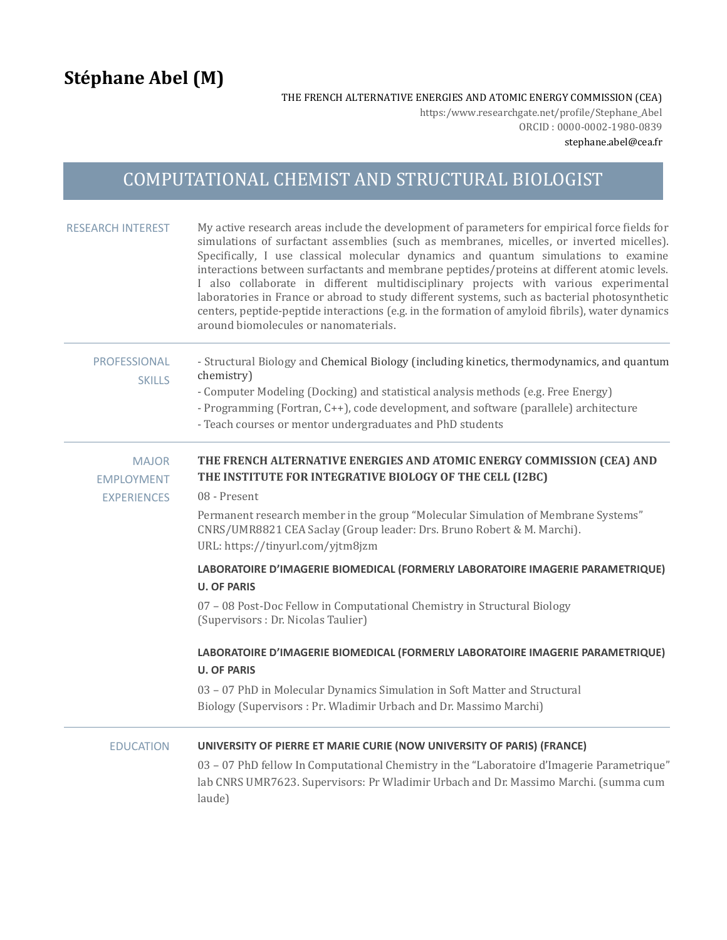THE FRENCH ALTERNATIVE ENERGIES AND ATOMIC ENERGY COMMISSION (CEA)

https:/www.researchgate.net/profile/Stephane\_Abel ORCID : 0000-0002-1980-0839

stephane.abel@cea.fr

## COMPUTATIONAL CHEMIST AND STRUCTURAL BIOLOGIST

| <b>RESEARCH INTEREST</b>                                | My active research areas include the development of parameters for empirical force fields for<br>simulations of surfactant assemblies (such as membranes, micelles, or inverted micelles).<br>Specifically, I use classical molecular dynamics and quantum simulations to examine<br>interactions between surfactants and membrane peptides/proteins at different atomic levels.<br>I also collaborate in different multidisciplinary projects with various experimental<br>laboratories in France or abroad to study different systems, such as bacterial photosynthetic<br>centers, peptide-peptide interactions (e.g. in the formation of amyloid fibrils), water dynamics<br>around biomolecules or nanomaterials. |
|---------------------------------------------------------|------------------------------------------------------------------------------------------------------------------------------------------------------------------------------------------------------------------------------------------------------------------------------------------------------------------------------------------------------------------------------------------------------------------------------------------------------------------------------------------------------------------------------------------------------------------------------------------------------------------------------------------------------------------------------------------------------------------------|
| <b>PROFESSIONAL</b><br><b>SKILLS</b>                    | - Structural Biology and Chemical Biology (including kinetics, thermodynamics, and quantum<br>chemistry)<br>- Computer Modeling (Docking) and statistical analysis methods (e.g. Free Energy)<br>- Programming (Fortran, C++), code development, and software (parallele) architecture<br>- Teach courses or mentor undergraduates and PhD students                                                                                                                                                                                                                                                                                                                                                                    |
| <b>MAJOR</b><br><b>EMPLOYMENT</b><br><b>EXPERIENCES</b> | THE FRENCH ALTERNATIVE ENERGIES AND ATOMIC ENERGY COMMISSION (CEA) AND<br>THE INSTITUTE FOR INTEGRATIVE BIOLOGY OF THE CELL (I2BC)<br>08 - Present                                                                                                                                                                                                                                                                                                                                                                                                                                                                                                                                                                     |
|                                                         | Permanent research member in the group "Molecular Simulation of Membrane Systems"<br>CNRS/UMR8821 CEA Saclay (Group leader: Drs. Bruno Robert & M. Marchi).<br>URL: https://tinyurl.com/yjtm8jzm                                                                                                                                                                                                                                                                                                                                                                                                                                                                                                                       |
|                                                         | LABORATOIRE D'IMAGERIE BIOMEDICAL (FORMERLY LABORATOIRE IMAGERIE PARAMETRIQUE)<br><b>U. OF PARIS</b>                                                                                                                                                                                                                                                                                                                                                                                                                                                                                                                                                                                                                   |
|                                                         | 07 - 08 Post-Doc Fellow in Computational Chemistry in Structural Biology<br>(Supervisors : Dr. Nicolas Taulier)                                                                                                                                                                                                                                                                                                                                                                                                                                                                                                                                                                                                        |
|                                                         | LABORATOIRE D'IMAGERIE BIOMEDICAL (FORMERLY LABORATOIRE IMAGERIE PARAMETRIQUE)<br><b>U. OF PARIS</b>                                                                                                                                                                                                                                                                                                                                                                                                                                                                                                                                                                                                                   |
|                                                         | 03 - 07 PhD in Molecular Dynamics Simulation in Soft Matter and Structural<br>Biology (Supervisors: Pr. Wladimir Urbach and Dr. Massimo Marchi)                                                                                                                                                                                                                                                                                                                                                                                                                                                                                                                                                                        |
| <b>EDUCATION</b>                                        | UNIVERSITY OF PIERRE ET MARIE CURIE (NOW UNIVERSITY OF PARIS) (FRANCE)                                                                                                                                                                                                                                                                                                                                                                                                                                                                                                                                                                                                                                                 |
|                                                         | 03 - 07 PhD fellow In Computational Chemistry in the "Laboratoire d'Imagerie Parametrique"<br>lab CNRS UMR7623. Supervisors: Pr Wladimir Urbach and Dr. Massimo Marchi. (summa cum<br>laude)                                                                                                                                                                                                                                                                                                                                                                                                                                                                                                                           |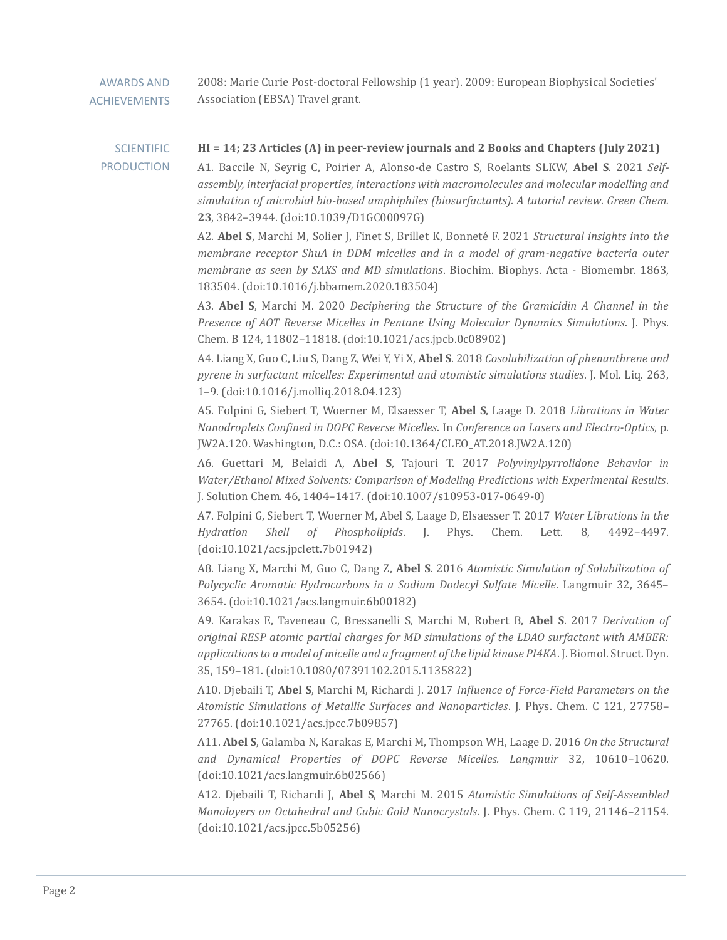| <b>AWARDS AND</b><br><b>ACHIEVEMENTS</b> | 2008: Marie Curie Post-doctoral Fellowship (1 year). 2009: European Biophysical Societies'<br>Association (EBSA) Travel grant.                                                                                                                                                                                                                                                                                                    |
|------------------------------------------|-----------------------------------------------------------------------------------------------------------------------------------------------------------------------------------------------------------------------------------------------------------------------------------------------------------------------------------------------------------------------------------------------------------------------------------|
| <b>SCIENTIFIC</b><br><b>PRODUCTION</b>   | HI = 14; 23 Articles (A) in peer-review journals and 2 Books and Chapters (July 2021)<br>A1. Baccile N, Seyrig C, Poirier A, Alonso-de Castro S, Roelants SLKW, Abel S. 2021 Self-<br>assembly, interfacial properties, interactions with macromolecules and molecular modelling and<br>simulation of microbial bio-based amphiphiles (biosurfactants). A tutorial review. Green Chem.<br>23, 3842-3944. (doi:10.1039/D1GC00097G) |
|                                          | A2. Abel S, Marchi M, Solier J, Finet S, Brillet K, Bonneté F. 2021 Structural insights into the<br>membrane receptor ShuA in DDM micelles and in a model of gram-negative bacteria outer<br>membrane as seen by SAXS and MD simulations. Biochim. Biophys. Acta - Biomembr. 1863,<br>183504. (doi:10.1016/j.bbamem.2020.183504)                                                                                                  |
|                                          | A3. Abel S, Marchi M. 2020 Deciphering the Structure of the Gramicidin A Channel in the<br>Presence of AOT Reverse Micelles in Pentane Using Molecular Dynamics Simulations. J. Phys.<br>Chem. B 124, 11802-11818. (doi:10.1021/acs.jpcb.0c08902)                                                                                                                                                                                 |
|                                          | A4. Liang X, Guo C, Liu S, Dang Z, Wei Y, Yi X, Abel S. 2018 Cosolubilization of phenanthrene and<br>pyrene in surfactant micelles: Experimental and atomistic simulations studies. J. Mol. Liq. 263,<br>1-9. (doi:10.1016/j.molliq.2018.04.123)                                                                                                                                                                                  |
|                                          | A5. Folpini G, Siebert T, Woerner M, Elsaesser T, Abel S, Laage D. 2018 Librations in Water<br>Nanodroplets Confined in DOPC Reverse Micelles. In Conference on Lasers and Electro-Optics, p.<br>JW2A.120. Washington, D.C.: OSA. (doi:10.1364/CLEO_AT.2018.JW2A.120)                                                                                                                                                             |
|                                          | A6. Guettari M, Belaidi A, Abel S, Tajouri T. 2017 Polyvinylpyrrolidone Behavior in<br>Water/Ethanol Mixed Solvents: Comparison of Modeling Predictions with Experimental Results.<br>J. Solution Chem. 46, 1404-1417. (doi:10.1007/s10953-017-0649-0)                                                                                                                                                                            |
|                                          | A7. Folpini G, Siebert T, Woerner M, Abel S, Laage D, Elsaesser T. 2017 Water Librations in the<br>Hydration<br>Shell<br>of Phospholipids.<br>Chem.<br>4492-4497.<br>J. Phys.<br>Lett.<br>8,<br>(doi:10.1021/acs.jpclett.7b01942)                                                                                                                                                                                                 |
|                                          | A8. Liang X, Marchi M, Guo C, Dang Z, Abel S. 2016 Atomistic Simulation of Solubilization of<br>Polycyclic Aromatic Hydrocarbons in a Sodium Dodecyl Sulfate Micelle. Langmuir 32, 3645-<br>3654. (doi:10.1021/acs.langmuir.6b00182)                                                                                                                                                                                              |
|                                          | A9. Karakas E, Taveneau C, Bressanelli S, Marchi M, Robert B, Abel S. 2017 Derivation of<br>original RESP atomic partial charges for MD simulations of the LDAO surfactant with AMBER:<br>applications to a model of micelle and a fragment of the lipid kinase PI4KA. J. Biomol. Struct. Dyn.<br>35, 159-181. (doi:10.1080/07391102.2015.1135822)                                                                                |
|                                          | A10. Djebaili T, Abel S, Marchi M, Richardi J. 2017 Influence of Force-Field Parameters on the<br>Atomistic Simulations of Metallic Surfaces and Nanoparticles. J. Phys. Chem. C 121, 27758-<br>27765. (doi:10.1021/acs.jpcc.7b09857)                                                                                                                                                                                             |
|                                          | A11. Abel S, Galamba N, Karakas E, Marchi M, Thompson WH, Laage D. 2016 On the Structural<br>and Dynamical Properties of DOPC Reverse Micelles. Langmuir 32, 10610-10620.<br>(doi:10.1021/acs.langmuir.6b02566)                                                                                                                                                                                                                   |
|                                          | A12. Djebaili T, Richardi J, Abel S, Marchi M. 2015 Atomistic Simulations of Self-Assembled<br>Monolayers on Octahedral and Cubic Gold Nanocrystals. J. Phys. Chem. C 119, 21146-21154.<br>(doi:10.1021/acs.jpec.5b05256)                                                                                                                                                                                                         |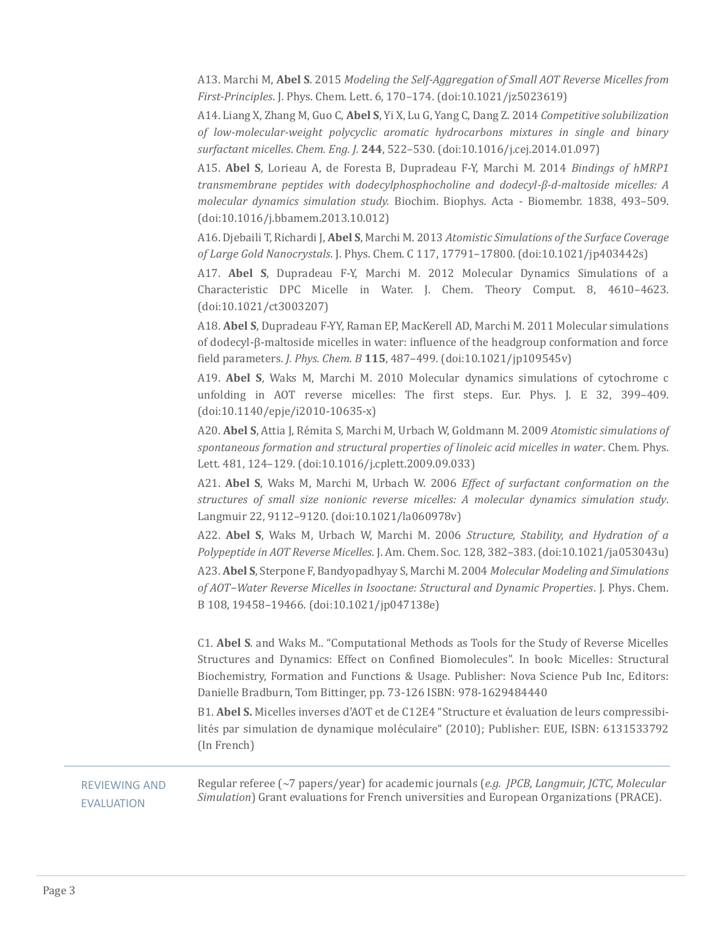A13. Marchi M, **Abel S**. 2015 *Modeling the Self-Aggregation of Small AOT Reverse Micelles from First-Principles*. J. Phys. Chem. Lett. 6, 170–174. (doi:10.1021/jz5023619)

A14. Liang X, Zhang M, Guo C, **Abel S**, Yi X, Lu G, Yang C, Dang Z. 2014 *Competitive solubilization of low-molecular-weight polycyclic aromatic hydrocarbons mixtures in single and binary surfactant micelles*. *Chem. Eng. J.* **244**, 522–530. (doi:10.1016/j.cej.2014.01.097)

A15. **Abel S**, Lorieau A, de Foresta B, Dupradeau F-Y, Marchi M. 2014 *Bindings of hMRP1 transmembrane peptides with dodecylphosphocholine and dodecyl-β-d-maltoside micelles: A molecular dynamics simulation study.* Biochim. Biophys. Acta - Biomembr. 1838, 493–509. (doi:10.1016/j.bbamem.2013.10.012)

A16. Djebaili T, Richardi J, **Abel S**, Marchi M. 2013 *Atomistic Simulations of the Surface Coverage of Large Gold Nanocrystals*. J. Phys. Chem. C 117, 17791–17800. (doi:10.1021/jp403442s)

A17. **Abel S**, Dupradeau F-Y, Marchi M. 2012 Molecular Dynamics Simulations of a Characteristic DPC Micelle in Water. J. Chem. Theory Comput. 8, 4610–4623. (doi:10.1021/ct3003207)

A18. **Abel S**, Dupradeau F-YY, Raman EP, MacKerell AD, Marchi M. 2011 Molecular simulations of dodecyl-β-maltoside micelles in water: influence of the headgroup conformation and force field parameters. *J. Phys. Chem. B* **115**, 487–499. (doi:10.1021/jp109545v)

A19. **Abel S**, Waks M, Marchi M. 2010 Molecular dynamics simulations of cytochrome c unfolding in AOT reverse micelles: The first steps. Eur. Phys. J. E 32, 399–409. (doi:10.1140/epje/i2010-10635-x)

A20. Abel S, Attia J, Rémita S, Marchi M, Urbach W, Goldmann M. 2009 Atomistic simulations of spontaneous formation and structural properties of linoleic acid micelles in water. Chem. Phys. Lett. 481, 124–129. (doi:10.1016/j.cplett.2009.09.033)

A21. **Abel S**, Waks M, Marchi M, Urbach W. 2006 *Effect of surfactant conformation on the structures of small size nonionic reverse micelles: A molecular dynamics simulation study*. Langmuir 22, 9112–9120. (doi:10.1021/la060978v)

A22. **Abel S**, Waks M, Urbach W, Marchi M. 2006 *Structure, Stability, and Hydration of a Polypeptide in AOT Reverse Micelles*. J. Am. Chem. Soc. 128, 382–383. (doi:10.1021/ja053043u) A23. **Abel S**, Sterpone F, Bandyopadhyay S, Marchi M. 2004 *Molecular Modeling and Simulations of AOT−Water Reverse Micelles in Isooctane: Structural and Dynamic Properties*. J. Phys. Chem. B 108, 19458–19466. (doi:10.1021/jp047138e)

C1. **Abel S**. and Waks M.. "Computational Methods as Tools for the Study of Reverse Micelles Structures and Dynamics: Effect on Confined Biomolecules". In book: Micelles: Structural Biochemistry, Formation and Functions & Usage. Publisher: Nova Science Pub Inc, Editors: Danielle Bradburn, Tom Bittinger, pp. 73-126 ISBN: 978-1629484440

B1. **Abel S.** Micelles inverses d'AOT et de C12E4 "Structure et évaluation de leurs compressibilités par simulation de dynamique moléculaire" (2010); Publisher: EUE, ISBN: 6131533792 (In French)

 REVIEWING AND EVALUATION

Regular referee (7 papers/year) for academic journals (*e.g. JPCB, Langmuir, JCTC, Molecular Simulation*) Grant evaluations for French universities and European Organizations (PRACE).